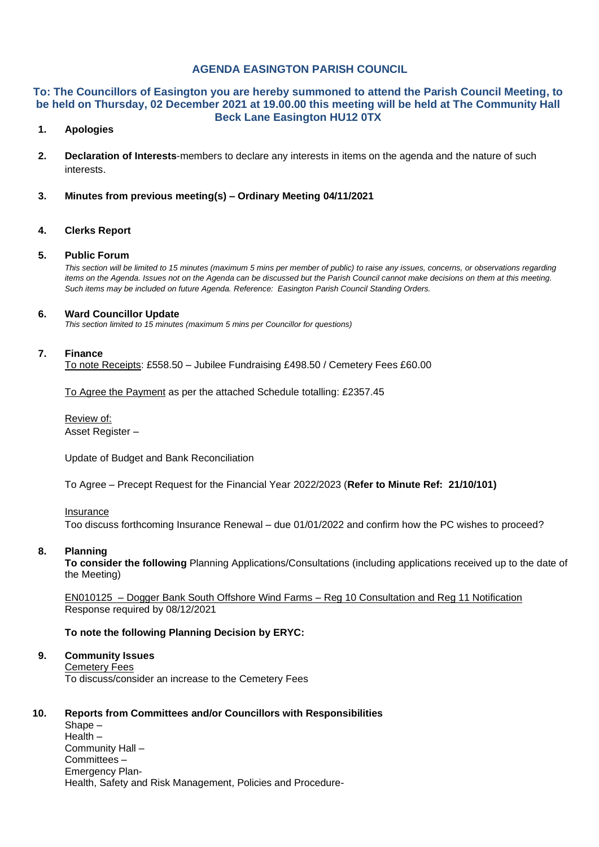## **AGENDA EASINGTON PARISH COUNCIL**

### **To: The Councillors of Easington you are hereby summoned to attend the Parish Council Meeting, to be held on Thursday, 02 December 2021 at 19.00.00 this meeting will be held at The Community Hall Beck Lane Easington HU12 0TX**

## **1. Apologies**

- **2. Declaration of Interests**-members to declare any interests in items on the agenda and the nature of such interests.
- **3. Minutes from previous meeting(s) – Ordinary Meeting 04/11/2021**

#### **4. Clerks Report**

#### **5. Public Forum**

*This section will be limited to 15 minutes (maximum 5 mins per member of public) to raise any issues, concerns, or observations regarding items on the Agenda. Issues not on the Agenda can be discussed but the Parish Council cannot make decisions on them at this meeting. Such items may be included on future Agenda. Reference: Easington Parish Council Standing Orders.*

#### **6. Ward Councillor Update**

*This section limited to 15 minutes (maximum 5 mins per Councillor for questions)*

#### **7. Finance**

To note Receipts: £558.50 – Jubilee Fundraising £498.50 / Cemetery Fees £60.00

To Agree the Payment as per the attached Schedule totalling: £2357.45

Review of: Asset Register –

Update of Budget and Bank Reconciliation

To Agree – Precept Request for the Financial Year 2022/2023 (**Refer to Minute Ref: 21/10/101)**

### Insurance

Too discuss forthcoming Insurance Renewal – due 01/01/2022 and confirm how the PC wishes to proceed?

#### **8. Planning**

**To consider the following** Planning Applications/Consultations (including applications received up to the date of the Meeting)

EN010125 – Dogger Bank South Offshore Wind Farms – Reg 10 Consultation and Reg 11 Notification Response required by 08/12/2021

## **To note the following Planning Decision by ERYC:**

## **9. Community Issues**

Cemetery Fees

To discuss/consider an increase to the Cemetery Fees

#### **10. Reports from Committees and/or Councillors with Responsibilities**

Shape – Health – Community Hall – Committees – Emergency Plan-Health, Safety and Risk Management, Policies and Procedure